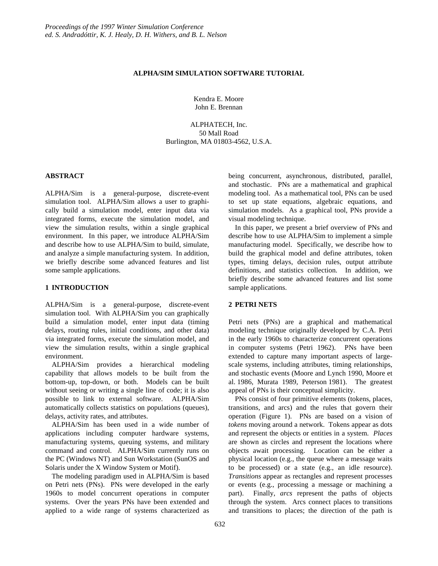#### **ALPHA/SIM SIMULATION SOFTWARE TUTORIAL**

Kendra E. Moore John E. Brennan

ALPHATECH, Inc. 50 Mall Road Burlington, MA 01803-4562, U.S.A.

# **ABSTRACT**

ALPHA/Sim is a general-purpose, discrete-event simulation tool. ALPHA/Sim allows a user to graphically build a simulation model, enter input data via integrated forms, execute the simulation model, and view the simulation results, within a single graphical environment. In this paper, we introduce ALPHA/Sim and describe how to use ALPHA/Sim to build, simulate, and analyze a simple manufacturing system. In addition, we briefly describe some advanced features and list some sample applications.

### **1 INTRODUCTION**

ALPHA/Sim is a general-purpose, discrete-event simulation tool. With ALPHA/Sim you can graphically build a simulation model, enter input data (timing delays, routing rules, initial conditions, and other data) via integrated forms, execute the simulation model, and view the simulation results, within a single graphical environment.

ALPHA/Sim provides a hierarchical modeling capability that allows models to be built from the bottom-up, top-down, or both. Models can be built without seeing or writing a single line of code; it is also possible to link to external software. ALPHA/Sim automatically collects statistics on populations (queues), delays, activity rates, and attributes.

ALPHA/Sim has been used in a wide number of applications including computer hardware systems, manufacturing systems, queuing systems, and military command and control. ALPHA/Sim currently runs on the PC (Windows NT) and Sun Workstation (SunOS and Solaris under the X Window System or Motif).

The modeling paradigm used in ALPHA/Sim is based on Petri nets (PNs). PNs were developed in the early 1960s to model concurrent operations in computer systems. Over the years PNs have been extended and applied to a wide range of systems characterized as being concurrent, asynchronous, distributed, parallel, and stochastic. PNs are a mathematical and graphical modeling tool. As a mathematical tool, PNs can be used to set up state equations, algebraic equations, and simulation models. As a graphical tool, PNs provide a visual modeling technique.

In this paper, we present a brief overview of PNs and describe how to use ALPHA/Sim to implement a simple manufacturing model. Specifically, we describe how to build the graphical model and define attributes, token types, timing delays, decision rules, output attribute definitions, and statistics collection. In addition, we briefly describe some advanced features and list some sample applications.

### **2 PETRI NETS**

Petri nets (PNs) are a graphical and mathematical modeling technique originally developed by C.A. Petri in the early 1960s to characterize concurrent operations in computer systems (Petri 1962). PNs have been extended to capture many important aspects of largescale systems, including attributes, timing relationships, and stochastic events (Moore and Lynch 1990, Moore et al. 1986, Murata 1989, Peterson 1981). The greatest appeal of PNs is their conceptual simplicity.

PNs consist of four primitive elements (tokens, places, transitions, and arcs) and the rules that govern their operation (Figure 1). PNs are based on a vision of *tokens* moving around a network. Tokens appear as dots and represent the objects or entities in a system. *Places* are shown as circles and represent the locations where objects await processing. Location can be either a physical location (e.g., the queue where a message waits to be processed) or a state (e.g., an idle resource). *Transitions* appear as rectangles and represent processes or events (e.g., processing a message or machining a part). Finally, *arcs* represent the paths of objects through the system. Arcs connect places to transitions and transitions to places; the direction of the path is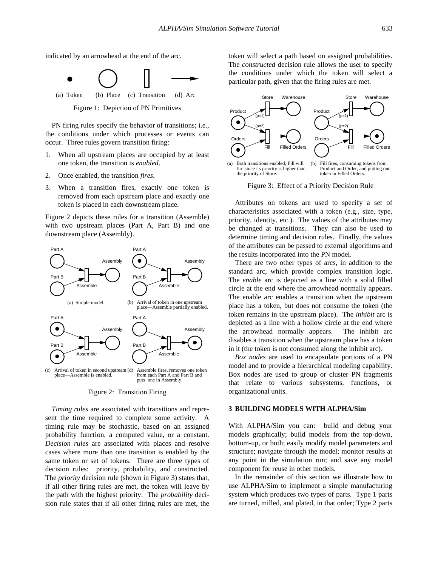indicated by an arrowhead at the end of the arc.



PN firing rules specify the behavior of transitions; i.e., the conditions under which processes or events can occur. Three rules govern transition firing:

- 1. When all upstream places are occupied by at least one token, the transition is *enabled*.
- 2. Once enabled, the transition *fires*.
- 3. When a transition fires, exactly one token is removed from each upstream place and exactly one token is placed in each downstream place.

Figure 2 depicts these rules for a transition (Assemble) with two upstream places (Part A, Part B) and one downstream place (Assembly).



place—Assemble is enabled. from each Part A and Part B and puts one in Assembly.

Figure 2: Transition Firing

*Timing rules* are associated with transitions and represent the time required to complete some activity. A timing rule may be stochastic, based on an assigned probability function, a computed value, or a constant. *Decision rules* are associated with places and resolve cases where more than one transition is enabled by the same token or set of tokens. There are three types of decision rules: priority, probability, and constructed. The *priority* decision rule (shown in Figure 3) states that, if all other firing rules are met, the token will leave by the path with the highest priority. The *probability* decision rule states that if all other firing rules are met, the

token will select a path based on assigned probabilities. The *constructed* decision rule allows the user to specify the conditions under which the token will select a particular path, given that the firing rules are met.



Figure 3: Effect of a Priority Decision Rule

Attributes on tokens are used to specify a set of characteristics associated with a token (e.g., size, type, priority, identity, etc.). The values of the attributes may be changed at transitions. They can also be used to determine timing and decision rules. Finally, the values of the attributes can be passed to external algorithms and the results incorporated into the PN model.

There are two other types of arcs, in addition to the standard arc, which provide complex transition logic. The *enable* arc is depicted as a line with a solid filled circle at the end where the arrowhead normally appears. The enable arc enables a transition when the upstream place has a token, but does not consume the token (the token remains in the upstream place). The *inhibit* arc is depicted as a line with a hollow circle at the end where the arrowhead normally appears. The inhibit arc disables a transition when the upstream place has a token in it (the token is not consumed along the inhibit arc).

*Box nodes* are used to encapsulate portions of a PN model and to provide a hierarchical modeling capability. Box nodes are used to group or cluster PN fragments that relate to various subsystems, functions, or organizational units.

#### **3 BUILDING MODELS WITH ALPHA/Sim**

With ALPHA/Sim you can: build and debug your models graphically; build models from the top-down, bottom-up, or both; easily modify model parameters and structure; navigate through the model; monitor results at any point in the simulation run; and save any model component for reuse in other models.

In the remainder of this section we illustrate how to use ALPHA/Sim to implement a simple manufacturing system which produces two types of parts. Type 1 parts are turned, milled, and plated, in that order; Type 2 parts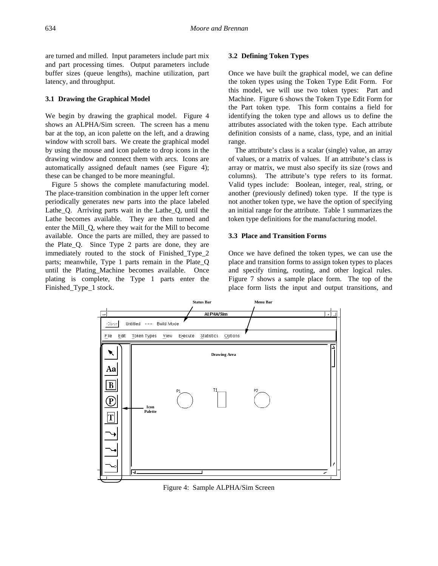are turned and milled. Input parameters include part mix and part processing times. Output parameters include buffer sizes (queue lengths), machine utilization, part latency, and throughput.

### **3.1 Drawing the Graphical Model**

We begin by drawing the graphical model. Figure 4 shows an ALPHA/Sim screen. The screen has a menu bar at the top, an icon palette on the left, and a drawing window with scroll bars. We create the graphical model by using the mouse and icon palette to drop icons in the drawing window and connect them with arcs. Icons are automatically assigned default names (see Figure 4); these can be changed to be more meaningful.

Figure 5 shows the complete manufacturing model. The place-transition combination in the upper left corner periodically generates new parts into the place labeled Lathe\_Q. Arriving parts wait in the Lathe\_Q, until the Lathe becomes available. They are then turned and enter the Mill\_Q, where they wait for the Mill to become available. Once the parts are milled, they are passed to the Plate\_Q. Since Type 2 parts are done, they are immediately routed to the stock of Finished\_Type\_2 parts; meanwhile, Type 1 parts remain in the Plate\_Q until the Plating\_Machine becomes available. Once plating is complete, the Type 1 parts enter the Finished\_Type\_1 stock.

#### **3.2 Defining Token Types**

Once we have built the graphical model, we can define the token types using the Token Type Edit Form. For this model, we will use two token types: Part and Machine. Figure 6 shows the Token Type Edit Form for the Part token type. This form contains a field for identifying the token type and allows us to define the attributes associated with the token type. Each attribute definition consists of a name, class, type, and an initial range.

The attribute's class is a scalar (single) value, an array of values, or a matrix of values. If an attribute's class is array or matrix, we must also specify its size (rows and columns). The attribute's type refers to its format. Valid types include: Boolean, integer, real, string, or another (previously defined) token type. If the type is not another token type, we have the option of specifying an initial range for the attribute. Table 1 summarizes the token type definitions for the manufacturing model.

### **3.3 Place and Transition Forms**

Once we have defined the token types, we can use the place and transition forms to assign token types to places and specify timing, routing, and other logical rules. Figure 7 shows a sample place form. The top of the place form lists the input and output transitions, and



Figure 4: Sample ALPHA/Sim Screen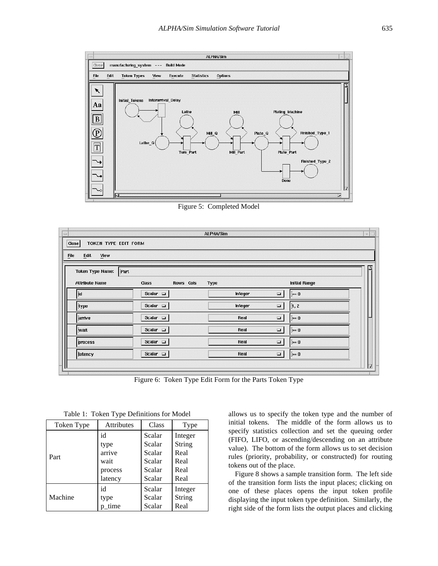

Figure 5: Completed Model

| TOKEN TYPE EDIT FORM<br>Close |                    |             |                                          |  |
|-------------------------------|--------------------|-------------|------------------------------------------|--|
| Edit<br>View                  |                    |             |                                          |  |
| <b>Token Type Name:</b>       | Part               |             |                                          |  |
| <b>Attribute Name</b>         | Class<br>Rows Cols | <b>Type</b> | <b>Initial Range</b>                     |  |
| į̃d                           | Scalar $\square$   | Integer     | $\check{ }$ >= 0<br>$\qquad \qquad \Box$ |  |
| itype                         | Scalar $\Box$      | Integer     | <b>1</b> , 2<br>$\Box$                   |  |
| arrive                        | Scalar $\Box$      | Real        | $\geqslant$ 0<br>$\Box$                  |  |
| wait                          | Scalar $\Box$      | Real        | $\geq 0$<br>$\Box$                       |  |
| process                       | Scalar $\Box$      | Real        | $\geq 0$<br>$\Box$                       |  |
| jatency                       | Scalar $\square$   | Real        | $\Box$<br>$\left  \right  = 0$           |  |

Figure 6: Token Type Edit Form for the Parts Token Type

| Token Type | <b>Attributes</b> | Class  | Type    |
|------------|-------------------|--------|---------|
|            | id                | Scalar | Integer |
|            | type              | Scalar | String  |
|            | arrive            | Scalar | Real    |
| Part       | wait              | Scalar | Real    |
|            | process           | Scalar | Real    |
|            | latency           | Scalar | Real    |
|            | id                | Scalar | Integer |
| Machine    | type              | Scalar | String  |
|            | time              | Scalar | Real    |

Table 1: Token Type Definitions for Model

allows us to specify the token type and the number of initial tokens. The middle of the form allows us to specify statistics collection and set the queuing order (FIFO, LIFO, or ascending/descending on an attribute value). The bottom of the form allows us to set decision rules (priority, probability, or constructed) for routing tokens out of the place.

Figure 8 shows a sample transition form. The left side of the transition form lists the input places; clicking on one of these places opens the input token profile displaying the input token type definition. Similarly, the right side of the form lists the output places and clicking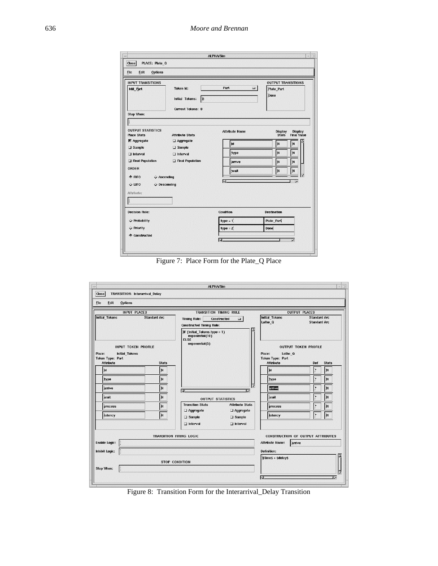| <b>INPUT TRANSITIONS</b><br><b>Token Id:</b><br>Mill Fart<br>Þ<br><b>Initial Tokens:</b><br>Current Tokens: 0<br>Stop When:                                                                     |                                                                                                                             |                                                                 | <b>OUTPUT TRANSITIONS</b>                                                              |
|-------------------------------------------------------------------------------------------------------------------------------------------------------------------------------------------------|-----------------------------------------------------------------------------------------------------------------------------|-----------------------------------------------------------------|----------------------------------------------------------------------------------------|
|                                                                                                                                                                                                 |                                                                                                                             | Part<br>$\qquad \qquad \Box$<br><u>mm mmm mm</u>                | Plate Part<br>Done                                                                     |
| <b>OUTPUT STATISTICS</b><br><b>Place Stats</b><br>■ Aggregate<br>$\Box$ Sample<br>$\Box$ Interval<br>$\Box$ Final Population<br>ORDER<br>← FIFO<br>♦ Ascending<br>$\Diamond$ LIFO<br>Aftrilude: | <b>Attribute Stats</b><br>$\Box$ Aggregate<br>$\Box$ Sample<br>$\Box$ Interval<br>Final Population<br>$\Diamond$ Descending | <b>Attribute Name</b><br>įď<br>type<br>arrive<br>.<br>wait<br>K | Display<br>Stats<br>Display<br>Final Value<br>ĬΝ<br>Ň<br>Ň<br>ĬΝ<br>ĬN<br>ĬΝ<br>Ň<br>Ň |
| <b>Decision Rule:</b><br>♦ Probability<br>♦ Priority<br>← Constructed                                                                                                                           |                                                                                                                             | Condition<br>$type = 1$<br>$type = 2$<br>-4.                    | <b>Destination</b><br>Plate Part<br>Done                                               |

Figure 7: Place Form for the Plate\_Q Place

| <b>INPUT PLACES</b>                                                                            |              | <b>TRANSITION TIMING RULE</b>                                                                             |                                            |                                                    | <b>OUTPUT PLACES</b>                               |
|------------------------------------------------------------------------------------------------|--------------|-----------------------------------------------------------------------------------------------------------|--------------------------------------------|----------------------------------------------------|----------------------------------------------------|
| <b>Initial Tokens</b><br><b>Standard Arc</b>                                                   |              | <b>Timing Rule:</b><br><b>Constructed Timing Rule:</b><br>IF (Initial_Tokens.type = 1)<br>exponential(10) | Constructed<br>Δ,                          | <b>Initial Tokens</b><br>Lathe_Q                   | <b>Standard Arc</b><br><b>Standard Arc</b>         |
| <b>INPUT TOKEN PROFILE</b><br><b>Initial Tokens</b><br>Place:<br>Token Type: Part<br>Attribute | <b>Stats</b> | <b>ELSE</b><br>exponential(5)                                                                             |                                            | Place:<br>Lathe Q<br>Token Type: Part<br>Attribute | <b>OUTPUT TOKEN PROFILE</b><br>Def<br><b>Stats</b> |
| id<br>type                                                                                     | ĬΝ<br>ĬN     |                                                                                                           |                                            | Ĭd<br>type                                         | ř<br>ĬМ<br>ř<br>'n                                 |
| arrive                                                                                         | Ň            | K)                                                                                                        | ⊳                                          | arrive                                             | š<br>ĨН                                            |
| wait                                                                                           | ĬΝ           | <b>OUTPUT STATISTICS</b>                                                                                  |                                            | wait                                               | Ň<br>ĬN.                                           |
| process                                                                                        | Ň            | <b>Transition Stats</b><br>$\Box$ Aggregate                                                               | <b>Attribute Stats</b><br>$\Box$ Aggregate | process                                            | ř<br>M                                             |
| jatency                                                                                        | Ň            | $\Box$ Sample<br>$\Box$ Interval                                                                          | $\square$ Sample<br>$\Box$ Interval        | jatency                                            | ř<br>Ň.                                            |
|                                                                                                |              | <b>TRANSITION FIRING LOGIC</b>                                                                            |                                            |                                                    | CONSTRUCTION OF OUTPUT ATTRIBUTES                  |
| <b>Enable Logic:</b>                                                                           |              |                                                                                                           |                                            | <b>Attribute Name:</b><br>arrive                   |                                                    |
| Inhibit Logic:                                                                                 |              |                                                                                                           |                                            | <b>Definition:</b>                                 |                                                    |
|                                                                                                |              | <b>STOP CONDITION</b>                                                                                     |                                            | \$time\$ + \$delay\$                               |                                                    |

Figure 8: Transition Form for the Interarrival\_Delay Transition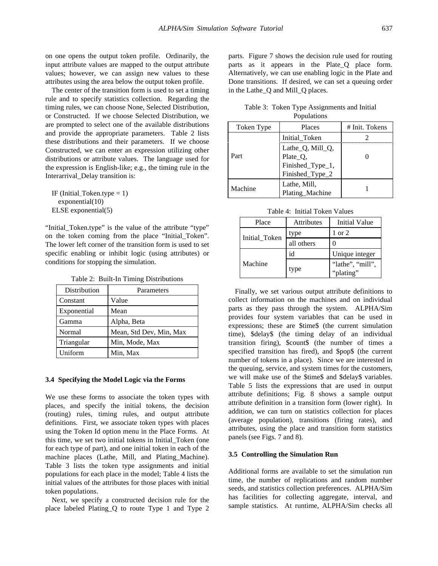on one opens the output token profile. Ordinarily, the input attribute values are mapped to the output attribute values; however, we can assign new values to these attributes using the area below the output token profile.

The center of the transition form is used to set a timing rule and to specify statistics collection. Regarding the timing rules, we can choose None, Selected Distribution, or Constructed. If we choose Selected Distribution, we are prompted to select one of the available distributions and provide the appropriate parameters. Table 2 lists these distributions and their parameters. If we choose Constructed, we can enter an expression utilizing other distributions or attribute values. The language used for the expression is English-like; e.g., the timing rule in the Interarrival\_Delay transition is:

IF (Initial\_Token.type  $= 1$ ) exponential(10) ELSE exponential(5)

"Initial\_Token.type" is the value of the attribute "type" on the token coming from the place "Initial\_Token". The lower left corner of the transition form is used to set specific enabling or inhibit logic (using attributes) or conditions for stopping the simulation.

| Distribution | Parameters              |  |
|--------------|-------------------------|--|
| Constant     | Value                   |  |
| Exponential  | Mean                    |  |
| Gamma        | Alpha, Beta             |  |
| Normal       | Mean, Std Dev, Min, Max |  |
| Triangular   | Min, Mode, Max          |  |
| Uniform      | Min, Max                |  |

#### **3.4 Specifying the Model Logic via the Forms**

We use these forms to associate the token types with places, and specify the initial tokens, the decision (routing) rules, timing rules, and output attribute definitions. First, we associate token types with places using the Token Id option menu in the Place Forms. At this time, we set two initial tokens in Initial\_Token (one for each type of part), and one initial token in each of the machine places (Lathe, Mill, and Plating\_Machine). Table 3 lists the token type assignments and initial populations for each place in the model; Table 4 lists the initial values of the attributes for those places with initial token populations.

Next, we specify a constructed decision rule for the place labeled Plating\_Q to route Type 1 and Type 2

parts. Figure 7 shows the decision rule used for routing parts as it appears in the Plate\_Q place form. Alternatively, we can use enabling logic in the Plate and Done transitions. If desired, we can set a queuing order in the Lathe\_Q and Mill\_Q places.

Table 3: Token Type Assignments and Initial Populations

| Token Type | Places           | # Init. Tokens |
|------------|------------------|----------------|
|            | Initial_Token    |                |
|            | Lathe_Q, Mill_Q, |                |
| Part       | Plate O.         |                |
|            | Finished_Type_1, |                |
|            | Finished_Type_2  |                |
| Machine    | Lathe, Mill,     |                |
|            | Plating_Machine  |                |

Table 4: Initial Token Values

| Place         | <b>Attributes</b> | <b>Initial Value</b>          |
|---------------|-------------------|-------------------------------|
| Initial_Token | type              | 1 or 2                        |
|               | all others        |                               |
|               | id                | Unique integer                |
| Machine       | type              | "lathe", "mill",<br>"plating" |

Finally, we set various output attribute definitions to collect information on the machines and on individual parts as they pass through the system. ALPHA/Sim provides four system variables that can be used in expressions; these are \$time\$ (the current simulation time), \$delay\$ (the timing delay of an individual transition firing), \$count\$ (the number of times a specified transition has fired), and \$pop\$ (the current number of tokens in a place). Since we are interested in the queuing, service, and system times for the customers, we will make use of the \$time\$ and \$delay\$ variables. Table 5 lists the expressions that are used in output attribute definitions; Fig. 8 shows a sample output attribute definition in a transition form (lower right). In addition, we can turn on statistics collection for places (average population), transitions (firing rates), and attributes, using the place and transition form statistics panels (see Figs. 7 and 8).

#### **3.5 Controlling the Simulation Run**

Additional forms are available to set the simulation run time, the number of replications and random number seeds, and statistics collection preferences. ALPHA/Sim has facilities for collecting aggregate, interval, and sample statistics. At runtime, ALPHA/Sim checks all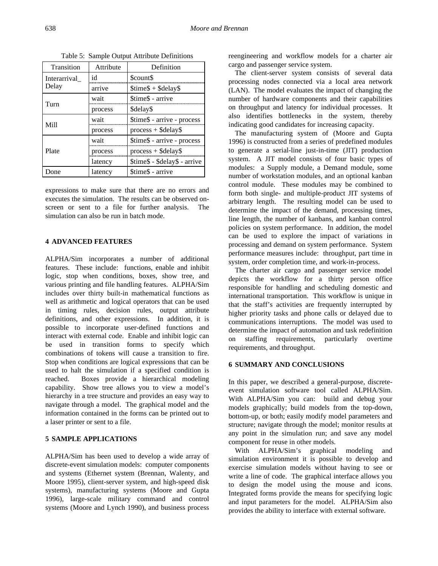| Transition   | Attribute | Definition                    |
|--------------|-----------|-------------------------------|
| Interarrival | id        | Scount <sub>S</sub>           |
| Delay        | arrive    | $$time$ + $delay$$            |
|              | wait      | \$time\$ - arrive             |
| Turn         | process   | \$delay\$                     |
| Mill         | wait      | \$time\$ - arrive - process   |
|              | process   | $process + \$                 |
|              | wait      | \$time\$ - arrive - process   |
| Plate        | process   | $process + \text{Sdelay}\$    |
|              | latency   | \$time\$ - \$delay\$ - arrive |
| Done         | latency   | \$time\$ - arrive             |

Table 5: Sample Output Attribute Definitions

expressions to make sure that there are no errors and executes the simulation. The results can be observed onscreen or sent to a file for further analysis. The simulation can also be run in batch mode.

#### **4 ADVANCED FEATURES**

ALPHA/Sim incorporates a number of additional features. These include: functions, enable and inhibit logic, stop when conditions, boxes, show tree, and various printing and file handling features. ALPHA/Sim includes over thirty built-in mathematical functions as well as arithmetic and logical operators that can be used in timing rules, decision rules, output attribute definitions, and other expressions. In addition, it is possible to incorporate user-defined functions and interact with external code. Enable and inhibit logic can be used in transition forms to specify which combinations of tokens will cause a transition to fire. Stop when conditions are logical expressions that can be used to halt the simulation if a specified condition is reached. Boxes provide a hierarchical modeling capability. Show tree allows you to view a model's hierarchy in a tree structure and provides an easy way to navigate through a model. The graphical model and the information contained in the forms can be printed out to a laser printer or sent to a file.

# **5 SAMPLE APPLICATIONS**

ALPHA/Sim has been used to develop a wide array of discrete-event simulation models: computer components and systems (Ethernet system (Brennan, Walenty, and Moore 1995), client-server system, and high-speed disk systems), manufacturing systems (Moore and Gupta 1996), large-scale military command and control systems (Moore and Lynch 1990), and business process

reengineering and workflow models for a charter air cargo and passenger service system.

The client-server system consists of several data processing nodes connected via a local area network (LAN). The model evaluates the impact of changing the number of hardware components and their capabilities on throughput and latency for individual processes. It also identifies bottlenecks in the system, thereby indicating good candidates for increasing capacity.

The manufacturing system of (Moore and Gupta 1996) is constructed from a series of predefined modules to generate a serial-line just-in-time (JIT) production system. A JIT model consists of four basic types of modules: a Supply module, a Demand module, some number of workstation modules, and an optional kanban control module. These modules may be combined to form both single- and multiple-product JIT systems of arbitrary length. The resulting model can be used to determine the impact of the demand, processing times, line length, the number of kanbans, and kanban control policies on system performance. In addition, the model can be used to explore the impact of variations in processing and demand on system performance. System performance measures include: throughput, part time in system, order completion time, and work-in-process.

The charter air cargo and passenger service model depicts the workflow for a thirty person office responsible for handling and scheduling domestic and international transportation. This workflow is unique in that the staff's activities are frequently interrupted by higher priority tasks and phone calls or delayed due to communications interruptions. The model was used to determine the impact of automation and task redefinition on staffing requirements, particularly overtime requirements, and throughput.

### **6 SUMMARY AND CONCLUSIONS**

In this paper, we described a general-purpose, discreteevent simulation software tool called ALPHA/Sim. With ALPHA/Sim you can: build and debug your models graphically; build models from the top-down, bottom-up, or both; easily modify model parameters and structure; navigate through the model; monitor results at any point in the simulation run; and save any model component for reuse in other models.

With ALPHA/Sim's graphical modeling and simulation environment it is possible to develop and exercise simulation models without having to see or write a line of code. The graphical interface allows you to design the model using the mouse and icons. Integrated forms provide the means for specifying logic and input parameters for the model. ALPHA/Sim also provides the ability to interface with external software.